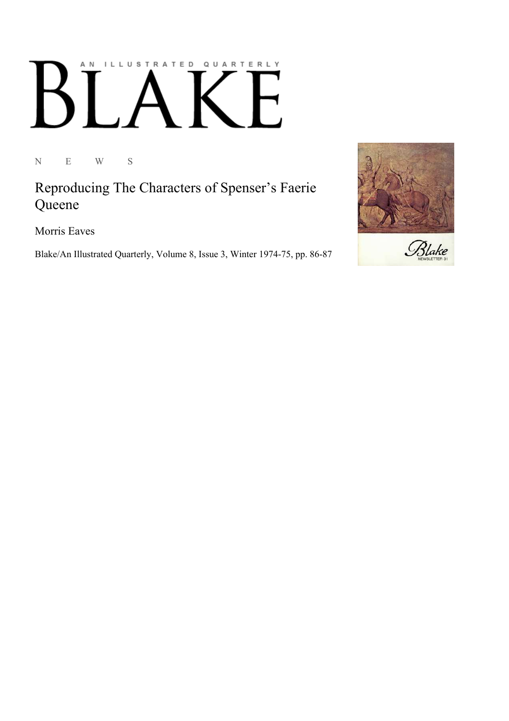## AN ILLUSTRATED QUARTERLY  $\begin{bmatrix} 1 & 1 \end{bmatrix}$  $\mathsf B$

N E W S

Reproducing The Characters of Spenser's Faerie Queene

Morris Eaves

Blake/An Illustrated Quarterly, Volume 8, Issue 3, Winter 1974-75, pp. 86-87

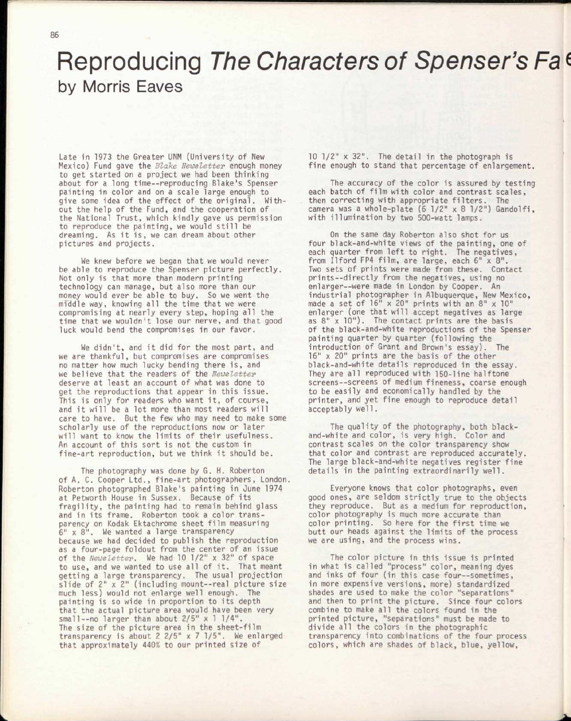## Reproducing *The Characters of Spenser's Fa t*  by Morris Eaves

Late in 1973 the Greater UNM (University of New Mexico) Fund gave the *Blake Newsletter* enough money to get started on a project we had been thinking about for a long time—reproducing Blake's Spenser painting in color and on a scale large enough to give some idea of the effect of the original. Without the help of the Fund, and the cooperation of the National Trust, which kindly gave us permission to reproduce the painting, we would still be dreaming. As it is, we can dream about other pictures and projects.

We knew before we began that we would never be able to reproduce the Spenser picture perfectly. Not only is that more than modern printing technology can manage, but also more than our money would ever be able to buy. So we went the middle way, knowing all the time that we were compromising at nearly *every* step, hoping all the time that we wouldn't lose our nerve, and that good luck would bend the compromises in our favor.

We didn't, and it did for the most part, and we are thankful, but compromises are compromises no matter how much lucky bending there is, and we believe that the readers of the *Newsletter*  deserve at least an account of what was done to get the reproductions that appear in this issue. This is only for readers who want it, of course, and it will be a lot more than most readers will care to have. But the few who may need to make some scholarly use of the reproductions now or later will want to know the limits of their usefulness. An account of this sort is not the custom in fine-art reproduction, but we think it should be.

The photography was done by G. H. Roberton of A. C. Cooper Ltd., fine-art photographers, London Roberton photographed Blake's painting in June 1974 at Petworth House in Sussex. Because of its fragility, the painting had to remain behind glass and in its frame. Roberton took a color transparency on Kodak Ektachrome sheet film measuring 6" x 8". We wanted a large transparency because we had decided to publish the reproduction as a four-page foldout from the center of an issue of the *Newsletter.* We had 10 1/2" x 32" of space to use, and we wanted to use all of it. That meant getting a large transparency. The usual projection slide of 2" x 2" (including mount--real picture size much less) would not enlarge well enough. The painting is so wide in proportion to its depth that the actual picture area would have been very small--no larger than about 2/5" x 1 1/4". The size of the picture area in the sheet-film transparency is about 2 2/5" x 7 1/5". We enlarged that approximately 440% to our printed size of

10 1/2" x 32". The detail in the photograph is fine enough to stand that percentage of enlargement.

The accuracy of the color is assured by testing each batch of film with color and contrast scales, then correcting with appropriate filters. The camera was a whole-plate (6 1/2" x 8 1/2") Gandolfi, with illumination by two 500-watt lamps.

On the same day Roberton also shot for us four black-and-white views of the painting, one of each quarter from left to right. The negatives, from Ilford FP4 film, are large, each 6" x 8". Two sets of prints were made from these. Contact prints—directly from the negatives, using no enlarger--were made in London by Cooper. An industrial photographer in Albuquerque, New Mexico, made a set of 16" x 20" prints with an 8" x 10" enlarger (one that will accept negatives as large as 8" x 10"). The contact prints are the basis of the black-and-white reproductions of the Spenser painting quarter by quarter (following the introduction of Grant and Brown's essay). The 16" x 20" prints are the basis of the other black-and-white details reproduced in the essay. They are all reproduced with 150-line halftone screens—screens of medium fineness, coarse enough to be easily and economically handled by the printer, and yet fine enough to reproduce detail acceptably well.

The quality of the photography, both blackand-white and color, is *very* high. Color and contrast scales on the color transparency show that color and contrast are reproduced accurately. The large black-and-white negatives register fine details in the painting extraordinarily well.

Everyone knows that color photographs, even good ones, are seldom strictly true to the objects they reproduce. But as a medium for reproduction, color photography is much more accurate than color printing. So here for the first time we butt our heads against the limits of the process we are using, and the process wins.

The color picture in this issue is printed in what is called "process" color, meaning dyes and inks of four (in this case four--sometimes, in more expensive versions, more) standardized shades are used to make the color "separations" and then to print the picture. Since four colors combine to make all the colors found in the printed picture, "separations" must be made to divide all the colors in the photographic transparency into combinations of the four process colors, which are shades of black, blue, yellow,